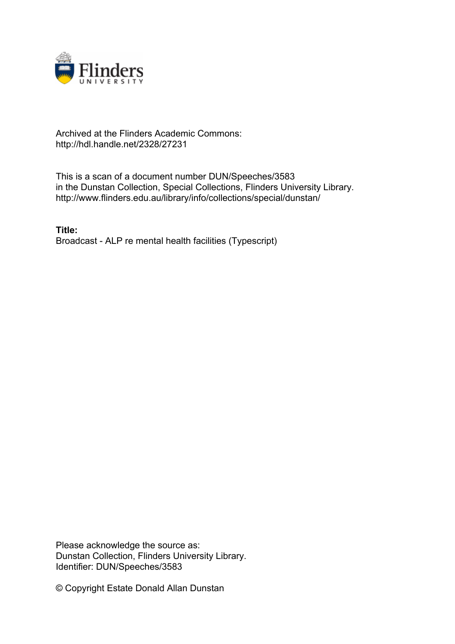

## Archived at the Flinders Academic Commons: http://hdl.handle.net/2328/27231

This is a scan of a document number DUN/Speeches/3583 in the Dunstan Collection, Special Collections, Flinders University Library. http://www.flinders.edu.au/library/info/collections/special/dunstan/

**Title:** Broadcast - ALP re mental health facilities (Typescript)

Please acknowledge the source as: Dunstan Collection, Flinders University Library. Identifier: DUN/Speeches/3583

© Copyright Estate Donald Allan Dunstan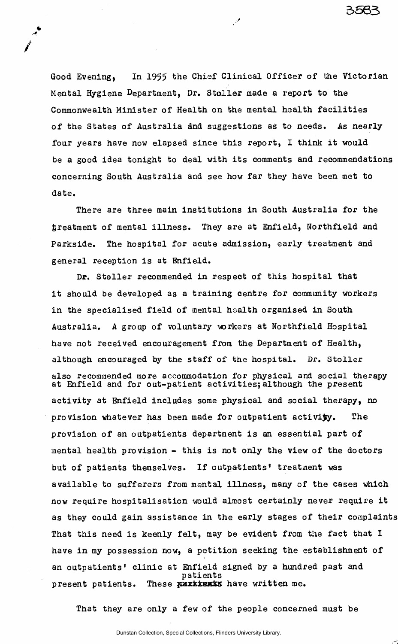Good Evening, In 1955 the Chief Clinical Officer of the Victorian Mental Hygiene Department, Dr. Stoller made a report to the Commonwealth Minister of Health on the mental health facilities of the States of Australia dnd suggestions as to needs. As nearly four years have now elapsed since this report, I think it would be a good idea tonight to deal with its comments and recommendations concerning South Australia and see how far they have been met to date.

.<br>مخرج

3563

There are three main institutions in South Australia for the treatment of mental illness. They are at Enfield, Northfield and Parkside. The hospital for acute admission, early treatment and general reception is at Enfield.

Dr. Stoller recommended in respect of this hospital that it should be developed as a training centre for community workers in the specialised field of mental health organised in South Australia. A group of voluntary workers at Northfield Hospital have not received encouragement from the Department of Health, although encouraged by the staff of the hospital. Dr. Stoller also recommended more accommodation for physical and social therapy at Enfield and for out-patient activities;although the present activity at Enfield includes some physical and social therapy, no provision whatever has been made for outpatient activity. The provision of an outpatients department is an essential part of mental health provision - this is not only the view of the doctors but of patients themselves. If outpatients' treatment was available to sufferers from mental Illness, many of the cases which now require hospitalisation would almost certainly never require it as they could gain assistance in the early stages of their complaints That this need is keenly felt, may be evident from the fact that I have in my possession now, a petition seeking the establishment of an outpatients' clinic at Enfield signed by a hundred past and patients present patients. These **EXXXXXXXX** have written me.

That they are only a few of the people concerned must be

Dunstan Collection, Special Collections, Flinders University Library.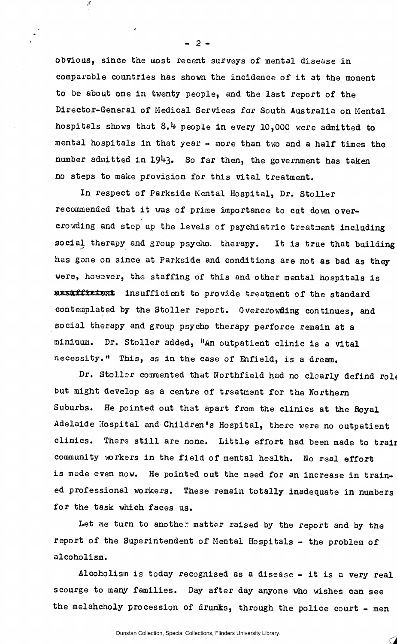obvious, since the most recent surveys of mental disease in comparable countries has shown the incidence of it at the moment to be about one in twenty people, and the last report of the Director-General of Medical Services for South Australia on Mental hospitals shows that  $8.4$  people in every 10,000 were admitted to mental hospitals in that year - more than two and a half times the number admitted in 1943. So far then, the government has taken no steps to make provision for this vital treatment.

 $-2-$ 

In respect of Parkside Mental Hospital, Dr. Stoller recommended that it was of prime importance to cut down overcrowding and step up the levels of psychiatric treatment including social therapy and group psycho, therapy. It is true that building has gone on since at Parkside and conditions are not as bad as they were, however, the staffing of this and other mental hospitals is maxifitivent insufficient to provide treatment of the standard contemplated by the Stoller report. Overcrowding continues, and social therapy and group psycho therapy perforce remain at a mininum. Dr. Stoller added, "An outpatient clinic is a vital necessity." This, as in the case of Enfield, is a dream.

Dr. Stoller commented that Northfield had no clearly defind role but might develop as a centre of treatment for the Northern Suburbs. He pointed out that apart from the clinics at the Royal Adelaide Hospital and Children's Hospital, there were no outpatient clinics. There still are none. Little effort had been made to trair community workers in the field of mental health. Wo real effort is made even now. He pointed out the need for an increase in trained professional workers. These remain totally inadequate in numbers for the task which faces us.

Let me turn to another matter raised by the report and by the report of the Superintendent of Mental Hospitals - the problem of alcoholism.

Alcoholism is today recognised as a disease - it is a very real scourge to many families. Day after day anyone who wishes can see the melahcholy procession of drunks, through the police court - men

*CA*